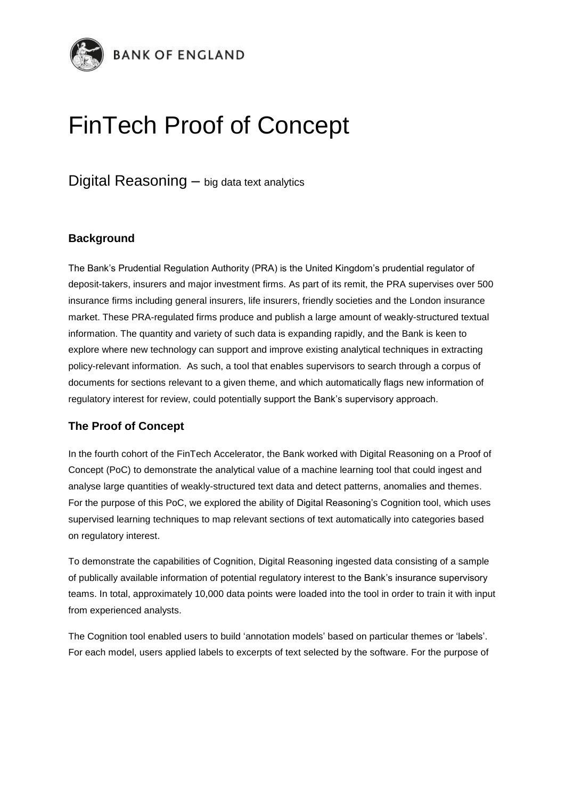

## FinTech Proof of Concept

Digital Reasoning – big data text analytics

## **Background**

The Bank's Prudential Regulation Authority (PRA) is the United Kingdom's prudential regulator of deposit-takers, insurers and major investment firms. As part of its remit, the PRA supervises over 500 insurance firms including general insurers, life insurers, friendly societies and the London insurance market. These PRA-regulated firms produce and publish a large amount of weakly-structured textual information. The quantity and variety of such data is expanding rapidly, and the Bank is keen to explore where new technology can support and improve existing analytical techniques in extracting policy-relevant information. As such, a tool that enables supervisors to search through a corpus of documents for sections relevant to a given theme, and which automatically flags new information of regulatory interest for review, could potentially support the Bank's supervisory approach.

## **The Proof of Concept**

In the fourth cohort of the FinTech Accelerator, the Bank worked with Digital Reasoning on a Proof of Concept (PoC) to demonstrate the analytical value of a machine learning tool that could ingest and analyse large quantities of weakly-structured text data and detect patterns, anomalies and themes. For the purpose of this PoC, we explored the ability of Digital Reasoning's Cognition tool, which uses supervised learning techniques to map relevant sections of text automatically into categories based on regulatory interest.

To demonstrate the capabilities of Cognition, Digital Reasoning ingested data consisting of a sample of publically available information of potential regulatory interest to the Bank's insurance supervisory teams. In total, approximately 10,000 data points were loaded into the tool in order to train it with input from experienced analysts.

The Cognition tool enabled users to build 'annotation models' based on particular themes or 'labels'. For each model, users applied labels to excerpts of text selected by the software. For the purpose of